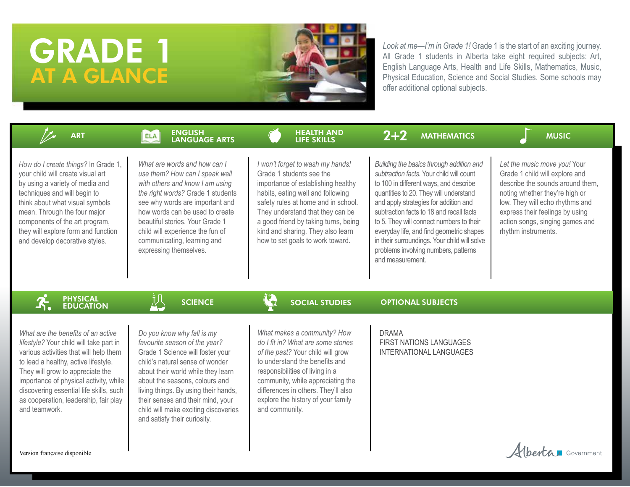# GRADE 1 AT A GLANCE



*Look at me—I'm in Grade 1!* Grade 1 is the start of an exciting journey. All Grade 1 students in Alberta take eight required subjects: Art, English Language Arts, Health and Life Skills, Mathematics, Music, Physical Education, Science and Social Studies. Some schools may offer additional optional subjects.

| <b>ART</b>                                                                                                                                                                                                                                                                                                                                         | <b>ENGLISH</b><br><b>ELA</b><br>LANGUAGE ARTS                                                                                                                                                                                                                                                                                                                   | <b>HEALTH AND</b><br><b>LIFE SKILLS</b>                                                                                                                                                                                                                                                                                             | $2 + 2$<br><b>MATHEMATICS</b>                                                                                                                                                                                                                                                                                                                                                                                                                                     | <b>MUSIC</b>                                                                                                                                                                                                                                                         |
|----------------------------------------------------------------------------------------------------------------------------------------------------------------------------------------------------------------------------------------------------------------------------------------------------------------------------------------------------|-----------------------------------------------------------------------------------------------------------------------------------------------------------------------------------------------------------------------------------------------------------------------------------------------------------------------------------------------------------------|-------------------------------------------------------------------------------------------------------------------------------------------------------------------------------------------------------------------------------------------------------------------------------------------------------------------------------------|-------------------------------------------------------------------------------------------------------------------------------------------------------------------------------------------------------------------------------------------------------------------------------------------------------------------------------------------------------------------------------------------------------------------------------------------------------------------|----------------------------------------------------------------------------------------------------------------------------------------------------------------------------------------------------------------------------------------------------------------------|
| How do I create things? In Grade 1,<br>your child will create visual art<br>by using a variety of media and<br>techniques and will begin to<br>think about what visual symbols<br>mean. Through the four major<br>components of the art program,<br>they will explore form and function<br>and develop decorative styles.                          | What are words and how can I<br>use them? How can I speak well<br>with others and know I am using<br>the right words? Grade 1 students<br>see why words are important and<br>how words can be used to create<br>beautiful stories. Your Grade 1<br>child will experience the fun of<br>communicating, learning and<br>expressing themselves.                    | I won't forget to wash my hands!<br>Grade 1 students see the<br>importance of establishing healthy<br>habits, eating well and following<br>safety rules at home and in school.<br>They understand that they can be<br>a good friend by taking turns, being<br>kind and sharing. They also learn<br>how to set goals to work toward. | Building the basics through addition and<br>subtraction facts. Your child will count<br>to 100 in different ways, and describe<br>quantities to 20. They will understand<br>and apply strategies for addition and<br>subtraction facts to 18 and recall facts<br>to 5. They will connect numbers to their<br>everyday life, and find geometric shapes<br>in their surroundings. Your child will solve<br>problems involving numbers, patterns<br>and measurement. | Let the music move you! Your<br>Grade 1 child will explore and<br>describe the sounds around them.<br>noting whether they're high or<br>low. They will echo rhythms and<br>express their feelings by using<br>action songs, singing games and<br>rhythm instruments. |
| <b>PHYSICAL<br/>EDUCATION</b>                                                                                                                                                                                                                                                                                                                      | 四<br><b>SCIENCE</b>                                                                                                                                                                                                                                                                                                                                             | $\mathbf{Q}$<br><b>SOCIAL STUDIES</b>                                                                                                                                                                                                                                                                                               | <b>OPTIONAL SUBJECTS</b>                                                                                                                                                                                                                                                                                                                                                                                                                                          |                                                                                                                                                                                                                                                                      |
| What are the benefits of an active<br>lifestyle? Your child will take part in<br>various activities that will help them<br>to lead a healthy, active lifestyle.<br>They will grow to appreciate the<br>importance of physical activity, while<br>discovering essential life skills, such<br>as cooperation, leadership, fair play<br>and teamwork. | Do you know why fall is my<br>favourite season of the year?<br>Grade 1 Science will foster your<br>child's natural sense of wonder<br>about their world while they learn<br>about the seasons, colours and<br>living things. By using their hands,<br>their senses and their mind, your<br>child will make exciting discoveries<br>and satisfy their curiosity. | What makes a community? How<br>do I fit in? What are some stories<br>of the past? Your child will grow<br>to understand the benefits and<br>responsibilities of living in a<br>community, while appreciating the<br>differences in others. They'll also<br>explore the history of your family<br>and community.                     | <b>DRAMA</b><br><b>FIRST NATIONS LANGUAGES</b><br><b>INTERNATIONAL LANGUAGES</b>                                                                                                                                                                                                                                                                                                                                                                                  |                                                                                                                                                                                                                                                                      |
| Version française disponible                                                                                                                                                                                                                                                                                                                       |                                                                                                                                                                                                                                                                                                                                                                 |                                                                                                                                                                                                                                                                                                                                     |                                                                                                                                                                                                                                                                                                                                                                                                                                                                   | <b>benta D</b> Government                                                                                                                                                                                                                                            |